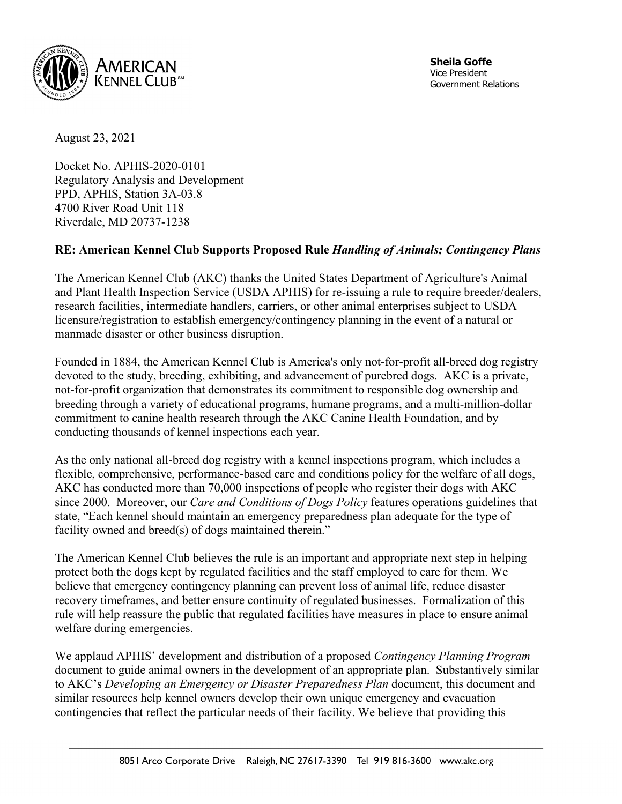

August 23, 2021

Docket No. APHIS-2020-0101 Regulatory Analysis and Development PPD, APHIS, Station 3A-03.8 4700 River Road Unit 118 Riverdale, MD 20737-1238

## **RE: American Kennel Club Supports Proposed Rule** *Handling of Animals; Contingency Plans*

The American Kennel Club (AKC) thanks the United States Department of Agriculture's Animal and Plant Health Inspection Service (USDA APHIS) for re-issuing a rule to require breeder/dealers, research facilities, intermediate handlers, carriers, or other animal enterprises subject to USDA licensure/registration to establish emergency/contingency planning in the event of a natural or manmade disaster or other business disruption.

Founded in 1884, the American Kennel Club is America's only not-for-profit all-breed dog registry devoted to the study, breeding, exhibiting, and advancement of purebred dogs. AKC is a private, not-for-profit organization that demonstrates its commitment to responsible dog ownership and breeding through a variety of educational programs, humane programs, and a multi-million-dollar commitment to canine health research through the AKC Canine Health Foundation, and by conducting thousands of kennel inspections each year.

As the only national all-breed dog registry with a kennel inspections program, which includes a flexible, comprehensive, performance-based care and conditions policy for the welfare of all dogs, AKC has conducted more than 70,000 inspections of people who register their dogs with AKC since 2000. Moreover, our *Care and Conditions of Dogs Policy* features operations guidelines that state, "Each kennel should maintain an emergency preparedness plan adequate for the type of facility owned and breed(s) of dogs maintained therein."

The American Kennel Club believes the rule is an important and appropriate next step in helping protect both the dogs kept by regulated facilities and the staff employed to care for them. We believe that emergency contingency planning can prevent loss of animal life, reduce disaster recovery timeframes, and better ensure continuity of regulated businesses. Formalization of this rule will help reassure the public that regulated facilities have measures in place to ensure animal welfare during emergencies.

We applaud APHIS' development and distribution of a proposed *Contingency Planning Program* document to guide animal owners in the development of an appropriate plan. Substantively similar to AKC's *Developing an Emergency or Disaster Preparedness Plan* document, this document and similar resources help kennel owners develop their own unique emergency and evacuation contingencies that reflect the particular needs of their facility. We believe that providing this